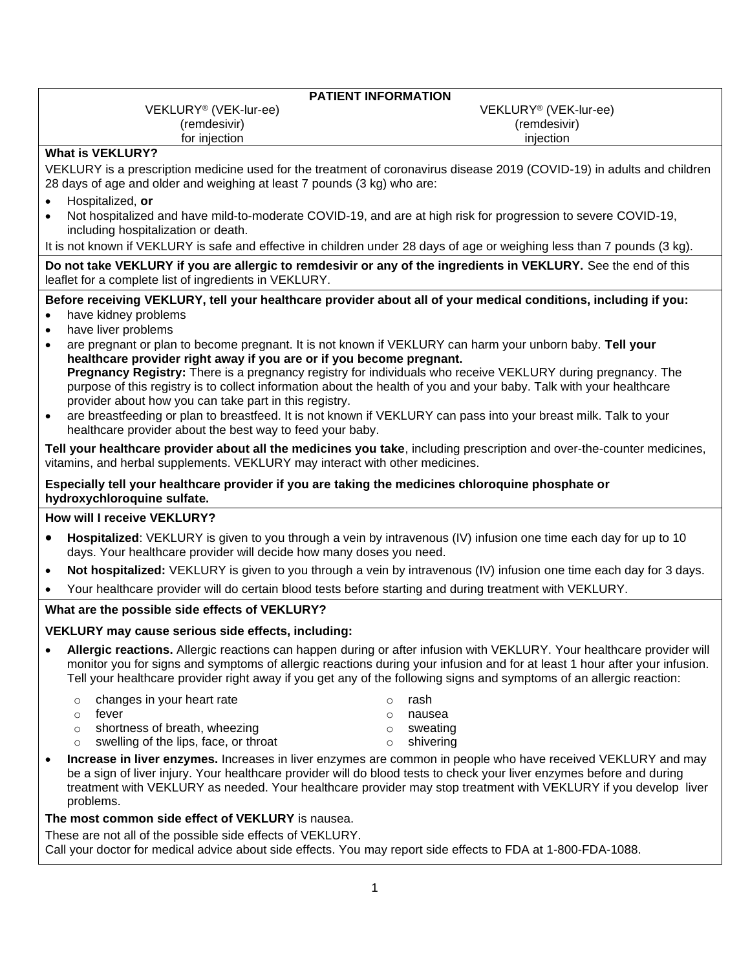| <b>PATIENT INFORMATION</b>                                                                                                                                                                                                                                                                                                                                                                                                                                                                                                                                                                                                                                                                                                                                                                                                                                                                                                                                                                                                                                                                                                                                                                                               |                                                                                     |
|--------------------------------------------------------------------------------------------------------------------------------------------------------------------------------------------------------------------------------------------------------------------------------------------------------------------------------------------------------------------------------------------------------------------------------------------------------------------------------------------------------------------------------------------------------------------------------------------------------------------------------------------------------------------------------------------------------------------------------------------------------------------------------------------------------------------------------------------------------------------------------------------------------------------------------------------------------------------------------------------------------------------------------------------------------------------------------------------------------------------------------------------------------------------------------------------------------------------------|-------------------------------------------------------------------------------------|
| VEKLURY <sup>®</sup> (VEK-lur-ee)                                                                                                                                                                                                                                                                                                                                                                                                                                                                                                                                                                                                                                                                                                                                                                                                                                                                                                                                                                                                                                                                                                                                                                                        | VEKLURY <sup>®</sup> (VEK-lur-ee)                                                   |
| (remdesivir)                                                                                                                                                                                                                                                                                                                                                                                                                                                                                                                                                                                                                                                                                                                                                                                                                                                                                                                                                                                                                                                                                                                                                                                                             | (remdesivir)<br>injection                                                           |
| for injection<br><b>What is VEKLURY?</b>                                                                                                                                                                                                                                                                                                                                                                                                                                                                                                                                                                                                                                                                                                                                                                                                                                                                                                                                                                                                                                                                                                                                                                                 |                                                                                     |
| VEKLURY is a prescription medicine used for the treatment of coronavirus disease 2019 (COVID-19) in adults and children<br>28 days of age and older and weighing at least 7 pounds (3 kg) who are:                                                                                                                                                                                                                                                                                                                                                                                                                                                                                                                                                                                                                                                                                                                                                                                                                                                                                                                                                                                                                       |                                                                                     |
| Hospitalized, or<br>$\bullet$<br>Not hospitalized and have mild-to-moderate COVID-19, and are at high risk for progression to severe COVID-19,<br>$\bullet$<br>including hospitalization or death.                                                                                                                                                                                                                                                                                                                                                                                                                                                                                                                                                                                                                                                                                                                                                                                                                                                                                                                                                                                                                       |                                                                                     |
| It is not known if VEKLURY is safe and effective in children under 28 days of age or weighing less than 7 pounds (3 kg).                                                                                                                                                                                                                                                                                                                                                                                                                                                                                                                                                                                                                                                                                                                                                                                                                                                                                                                                                                                                                                                                                                 |                                                                                     |
| Do not take VEKLURY if you are allergic to remdesivir or any of the ingredients in VEKLURY. See the end of this<br>leaflet for a complete list of ingredients in VEKLURY.                                                                                                                                                                                                                                                                                                                                                                                                                                                                                                                                                                                                                                                                                                                                                                                                                                                                                                                                                                                                                                                |                                                                                     |
| Before receiving VEKLURY, tell your healthcare provider about all of your medical conditions, including if you:<br>have kidney problems<br>have liver problems<br>$\bullet$<br>are pregnant or plan to become pregnant. It is not known if VEKLURY can harm your unborn baby. Tell your<br>$\bullet$<br>healthcare provider right away if you are or if you become pregnant.<br>Pregnancy Registry: There is a pregnancy registry for individuals who receive VEKLURY during pregnancy. The<br>purpose of this registry is to collect information about the health of you and your baby. Talk with your healthcare<br>provider about how you can take part in this registry.<br>are breastfeeding or plan to breastfeed. It is not known if VEKLURY can pass into your breast milk. Talk to your<br>$\bullet$<br>healthcare provider about the best way to feed your baby.<br>Tell your healthcare provider about all the medicines you take, including prescription and over-the-counter medicines,<br>vitamins, and herbal supplements. VEKLURY may interact with other medicines.<br>Especially tell your healthcare provider if you are taking the medicines chloroquine phosphate or<br>hydroxychloroquine sulfate. |                                                                                     |
| How will I receive VEKLURY?                                                                                                                                                                                                                                                                                                                                                                                                                                                                                                                                                                                                                                                                                                                                                                                                                                                                                                                                                                                                                                                                                                                                                                                              |                                                                                     |
| Hospitalized: VEKLURY is given to you through a vein by intravenous (IV) infusion one time each day for up to 10<br>$\bullet$<br>days. Your healthcare provider will decide how many doses you need.                                                                                                                                                                                                                                                                                                                                                                                                                                                                                                                                                                                                                                                                                                                                                                                                                                                                                                                                                                                                                     |                                                                                     |
| Not hospitalized: VEKLURY is given to you through a vein by intravenous (IV) infusion one time each day for 3 days.<br>٠                                                                                                                                                                                                                                                                                                                                                                                                                                                                                                                                                                                                                                                                                                                                                                                                                                                                                                                                                                                                                                                                                                 |                                                                                     |
| Your healthcare provider will do certain blood tests before starting and during treatment with VEKLURY.                                                                                                                                                                                                                                                                                                                                                                                                                                                                                                                                                                                                                                                                                                                                                                                                                                                                                                                                                                                                                                                                                                                  |                                                                                     |
| What are the possible side effects of VEKLURY?                                                                                                                                                                                                                                                                                                                                                                                                                                                                                                                                                                                                                                                                                                                                                                                                                                                                                                                                                                                                                                                                                                                                                                           |                                                                                     |
| VEKLURY may cause serious side effects, including:                                                                                                                                                                                                                                                                                                                                                                                                                                                                                                                                                                                                                                                                                                                                                                                                                                                                                                                                                                                                                                                                                                                                                                       |                                                                                     |
| Allergic reactions. Allergic reactions can happen during or after infusion with VEKLURY. Your healthcare provider will<br>$\bullet$<br>monitor you for signs and symptoms of allergic reactions during your infusion and for at least 1 hour after your infusion.<br>Tell your healthcare provider right away if you get any of the following signs and symptoms of an allergic reaction:                                                                                                                                                                                                                                                                                                                                                                                                                                                                                                                                                                                                                                                                                                                                                                                                                                |                                                                                     |
| changes in your heart rate<br>$\circ$<br>fever<br>$\circ$<br>shortness of breath, wheezing<br>$\circ$<br>swelling of the lips, face, or throat<br>$\circ$                                                                                                                                                                                                                                                                                                                                                                                                                                                                                                                                                                                                                                                                                                                                                                                                                                                                                                                                                                                                                                                                | rash<br>$\circ$<br>nausea<br>$\circ$<br>sweating<br>$\circ$<br>shivering<br>$\circ$ |
| Increase in liver enzymes. Increases in liver enzymes are common in people who have received VEKLURY and may<br>$\bullet$<br>be a sign of liver injury. Your healthcare provider will do blood tests to check your liver enzymes before and during<br>treatment with VEKLURY as needed. Your healthcare provider may stop treatment with VEKLURY if you develop liver<br>problems.                                                                                                                                                                                                                                                                                                                                                                                                                                                                                                                                                                                                                                                                                                                                                                                                                                       |                                                                                     |
| The most common side effect of VEKLURY is nausea.                                                                                                                                                                                                                                                                                                                                                                                                                                                                                                                                                                                                                                                                                                                                                                                                                                                                                                                                                                                                                                                                                                                                                                        |                                                                                     |
| These are not all of the possible side effects of VEKLURY.<br>Call your doctor for medical advice about side effects. You may report side effects to FDA at 1-800-FDA-1088.                                                                                                                                                                                                                                                                                                                                                                                                                                                                                                                                                                                                                                                                                                                                                                                                                                                                                                                                                                                                                                              |                                                                                     |